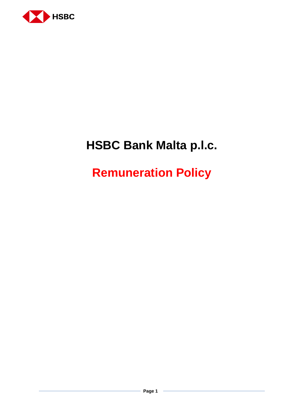

# **HSBC Bank Malta p.l.c.**

# **Remuneration Policy**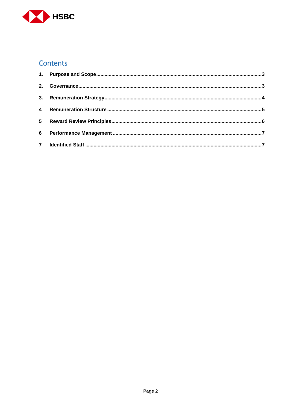

## **Contents**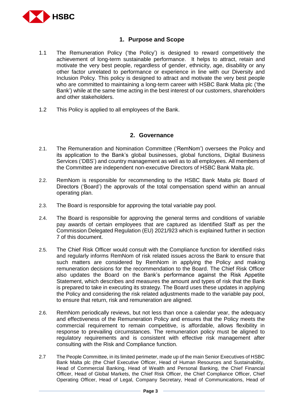

#### **1. Purpose and Scope**

- <span id="page-2-0"></span>1.1 The Remuneration Policy ('the Policy') is designed to reward competitively the achievement of long-term sustainable performance. It helps to attract, retain and motivate the very best people, regardless of gender, ethnicity, age, disability or any other factor unrelated to performance or experience in line with our Diversity and Inclusion Policy. This policy is designed to attract and motivate the very best people who are committed to maintaining a long-term career with HSBC Bank Malta plc ('the Bank') while at the same time acting in the best interest of our customers, shareholders and other stakeholders.
- 1.2 This Policy is applied to all employees of the Bank.

#### **2. Governance**

- <span id="page-2-1"></span>2.1. The Remuneration and Nomination Committee ('RemNom') oversees the Policy and its application to the Bank's global businesses, global functions, Digital Business Services ('DBS') and country management as well as to all employees. All members of the Committee are independent non-executive Directors of HSBC Bank Malta plc.
- 2.2. RemNom is responsible for recommending to the HSBC Bank Malta plc Board of Directors ('Board') the approvals of the total compensation spend within an annual operating plan.
- 2.3. The Board is responsible for approving the total variable pay pool.
- 2.4. The Board is responsible for approving the general terms and conditions of variable pay awards of certain employees that are captured as Identified Staff as per the Commission Delegated Regulation (EU) 2021/923 which is explained further in section 7 of this document.
- 2.5. The Chief Risk Officer would consult with the Compliance function for identified risks and regularly informs RemNom of risk related issues across the Bank to ensure that such matters are considered by RemNom in applying the Policy and making remuneration decisions for the recommendation to the Board. The Chief Risk Officer also updates the Board on the Bank's performance against the Risk Appetite Statement, which describes and measures the amount and types of risk that the Bank is prepared to take in executing its strategy. The Board uses these updates in applying the Policy and considering the risk related adjustments made to the variable pay pool, to ensure that return, risk and remuneration are aligned.
- 2.6. RemNom periodically reviews, but not less than once a calendar year, the adequacy and effectiveness of the Remuneration Policy and ensures that the Policy meets the commercial requirement to remain competitive, is affordable, allows flexibility in response to prevailing circumstances. The remuneration policy must be aligned to regulatory requirements and is consistent with effective risk management after consulting with the Risk and Compliance function.
- 2.7 The People Committee, in its limited perimeter, made up of the main Senior Executives of HSBC Bank Malta plc (the Chief Executive Officer, Head of Human Resources and Sustainability, Head of Commercial Banking, Head of Wealth and Personal Banking, the Chief Financial Officer, Head of Global Markets, the Chief Risk Officer, the Chief Compliance Officer, Chief Operating Officer, Head of Legal, Company Secretary, Head of Communications, Head of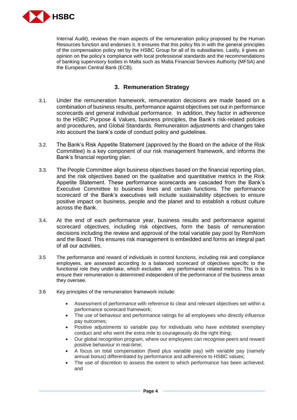

Internal Audit), reviews the main aspects of the remuneration policy proposed by the Human Resources function and endorses it. It ensures that this policy fits in with the general principles of the compensation policy set by the HSBC Group for all of its subsidiaries. Lastly, it gives an opinion on the policy's compliance with local professional standards and the recommendations of banking supervisory bodies in Malta such as Malta Financial Services Authority (MFSA) and the European Central Bank (ECB).

### **3. Remuneration Strategy**

- <span id="page-3-0"></span>3.1. Under the remuneration framework, remuneration decisions are made based on a combination of business results, performance against objectives set out in performance scorecards and general individual performance. In addition, they factor in adherence to the HSBC Purpose & Values, business principles, the Bank's risk-related policies and procedures, and Global Standards. Remuneration adjustments and changes take into account the bank's code of conduct policy and guidelines.
- 3.2. The Bank's Risk Appetite Statement (approved by the Board on the advice of the Risk Committee) is a key component of our risk management framework, and informs the Bank's financial reporting plan.
- 3.3. The People Committee align business objectives based on the financial reporting plan, and the risk objectives based on the qualitative and quantitative metrics in the Risk Appetite Statement. These performance scorecards are cascaded from the Bank's Executive Committee to business lines and certain functions. The performance scorecard of the Bank's executives will include sustainability objectives to ensure positive impact on business, people and the planet and to establish a robust culture across the Bank.
- 3.4. At the end of each performance year, business results and performance against scorecard objectives, including risk objectives, form the basis of remuneration decisions including the review and approval of the total variable pay pool by RemNom and the Board. This ensures risk management is embedded and forms an integral part of all our activities.
- 3.5 The performance and reward of individuals in control functions, including risk and compliance employees, are assessed according to a balanced scorecard of objectives specific to the functional role they undertake, which excludes any performance related metrics. This is to ensure their remuneration is determined independent of the performance of the business areas they oversee.
- 3.6 Key principles of the remuneration framework include:
	- Assessment of performance with reference to clear and relevant objectives set within a performance scorecard framework;
	- The use of behaviour and performance ratings for all employees who directly influence pay outcomes;
	- Positive adjustments to variable pay for individuals who have exhibited exemplary conduct and who went the extra mile to courageously do the right thing;
	- Our global recognition program, where our employees can recognise peers and reward positive behaviour in real-time;
	- A focus on total compensation (fixed plus variable pay) with variable pay (namely annual bonus) differentiated by performance and adherence to HSBC values;
	- The use of discretion to assess the extent to which performance has been achieved; and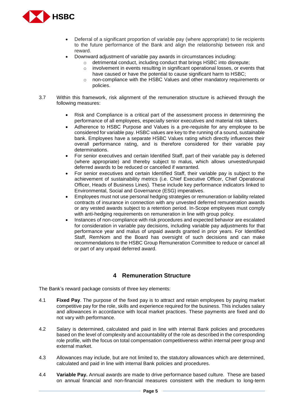

- Deferral of a significant proportion of variable pay (where appropriate) to tie recipients to the future performance of the Bank and align the relationship between risk and reward.
- Downward adjustment of variable pay awards in circumstances including:
	- o detrimental conduct, including conduct that brings HSBC into disrepute;
	- o involvement in events resulting in significant operational losses, or events that have caused or have the potential to cause significant harm to HSBC;
	- $\circ$  non-compliance with the HSBC Values and other mandatory requirements or policies.
- 3.7 Within this framework, risk alignment of the remuneration structure is achieved through the following measures:
	- Risk and Compliance is a critical part of the assessment process in determining the performance of all employees, especially senior executives and material risk takers.
	- Adherence to HSBC Purpose and Values is a pre-requisite for any employee to be considered for variable pay. HSBC values are key to the running of a sound, sustainable bank. Employees have a separate HSBC Values rating which directly influences their overall performance rating, and is therefore considered for their variable pay determinations.
	- For senior executives and certain Identified Staff, part of their variable pay is deferred (where appropriate) and thereby subject to malus, which allows unvested/unpaid deferred awards to be reduced or cancelled if warranted.
	- For senior executives and certain Identified Staff, their variable pay is subject to the achievement of sustainability metrics (i.e. Chief Executive Officer, Chief Operational Officer, Heads of Business Lines). These include key performance indicators linked to Environmental, Social and Governance (ESG) imperatives.
	- Employees must not use personal hedging strategies or remuneration or liability related contracts of insurance in connection with any unvested deferred remuneration awards or any vested awards subject to a retention period. In-Scope employees must comply with anti-hedging requirements on remuneration in line with group policy.
	- Instances of non-compliance with risk procedures and expected behavior are escalated for consideration in variable pay decisions, including variable pay adjustments for that performance year and malus of unpaid awards granted in prior years. For Identified Staff, RemNom and the Board has oversight of such decisions and can make recommendations to the HSBC Group Remuneration Committee to reduce or cancel all or part of any unpaid deferred award.

#### **4 Remuneration Structure**

<span id="page-4-0"></span>The Bank's reward package consists of three key elements:

- 4.1 **Fixed Pay**. The purpose of the fixed pay is to attract and retain employees by paying market competitive pay for the role, skills and experience required for the business. This includes salary and allowances in accordance with local market practices. These payments are fixed and do not vary with performance.
- 4.2 Salary is determined, calculated and paid in line with internal Bank policies and procedures based on the level of complexity and accountability of the role as described in the corresponding role profile, with the focus on total compensation competitiveness within internal peer group and external market.
- 4.3 Allowances may include, but are not limited to, the statutory allowances which are determined, calculated and paid in line with internal Bank policies and procedures.
- 4.4 **Variable Pay.** Annual awards are made to drive performance based culture. These are based on annual financial and non-financial measures consistent with the medium to long-term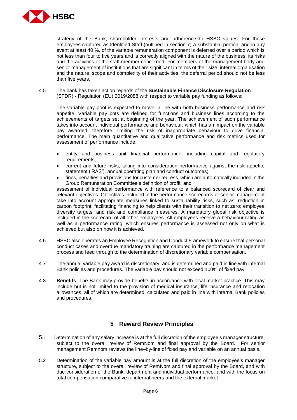

strategy of the Bank, shareholder interests and adherence to HSBC values. For those employees captured as Identified Staff (outlined in section 7) a substantial portion, and in any event at least 40 %, of the variable remuneration component is deferred over a period which is not less than four to five years and is correctly aligned with the nature of the business, its risks and the activities of the staff member concerned. For members of the management body and senior management of institutions that are significant in terms of their size, internal organisation and the nature, scope and complexity of their activities, the deferral period should not be less than five years.

4.5 The bank has taken action regards of the **Sustainable Finance Disclosure Regulation** (SFDR) - Regulation (EU) 2019/2088 with respect to variable pay funding as follows:

The variable pay pool is expected to move in line with both business performance and risk appetite. Variable pay pots are defined for functions and business lines according to the achievements of targets set at beginning of the year. The achievement of such performance takes into account individual performance and behaviour, which has an impact on the variable pay awarded, therefore, limiting the risk of inappropriate behaviour to drive financial performance. The main quantitative and qualitative performance and risk metrics used for assessment of performance include:

- entity and business unit financial performance, including capital and regulatory requirements;
- current and future risks, taking into consideration performance against the risk appetite statement ('RAS'), annual operating plan and conduct outcomes;
- fines, penalties and provisions for customer redress, which are automatically included in the Group Remuneration Committee's definition of profit; and

assessment of individual performance with reference to a balanced scorecard of clear and relevant objectives. Objectives included in the performance scorecards of senior management take into account appropriate measures linked to sustainability risks, such as: reduction in carbon footprint; facilitating financing to help clients with their transition to net zero; employee diversity targets; and risk and compliance measures. A mandatory global risk objective is included in the scorecard of all other employees. All employees receive a behaviour rating as well as a performance rating, which ensures performance is assessed not only on what is achieved but also on how it is achieved.

- 4.6 HSBC also operates an Employee Recognition and Conduct Framework to ensure that personal conduct cases and overdue mandatory training are captured in the performance management process and feed through to the determination of discretionary variable compensation.
- 4.7 The annual variable pay award is discretionary, and is determined and paid in line with internal Bank policies and procedures. The variable pay should not exceed 100% of fixed pay.
- 4.8 **Benefits**. The Bank may provide benefits in accordance with local market practice. This may include but is not limited to the provision of medical insurance, life insurance and relocation allowances, all of which are determined, calculated and paid in line with internal Bank policies and procedures.

#### **5 Reward Review Principles**

- <span id="page-5-0"></span>5.1 Determination of any salary increase is at the full discretion of the employee's manager structure, subject to the overall review of RemNom and final approval by the Board. For senior management Remnom reviews the line–by-line of fixed pay and variable on an annual basis.
- 5.2 Determination of the variable pay amount is at the full discretion of the employee's manager structure, subject to the overall review of RemNom and final approval by the Board, and with due consideration of the Bank, department and individual performance, and with the focus on total compensation comparative to internal peers and the external market.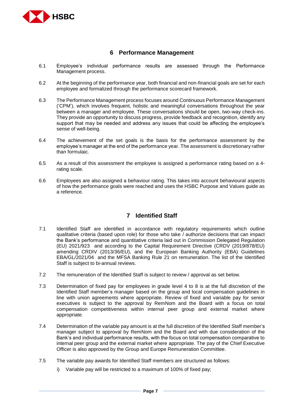

#### **6 Performance Management**

- <span id="page-6-0"></span>6.1 Employee's individual performance results are assessed through the Performance Management process.
- 6.2 At the beginning of the performance year, both financial and non-financial goals are set for each employee and formalized through the performance scorecard framework.
- 6.3 The Performance Management process focuses around Continuous Performance Management ('CPM'), which involves frequent, holistic and meaningful conversations throughout the year between a manager and employee. These conversations should be open, two-way check-ins. They provide an opportunity to discuss progress, provide feedback and recognition, identify any support that may be needed and address any issues that could be affecting the employee's sense of well-being.
- 6.4 The achievement of the set goals is the basis for the performance assessment by the employee's manager at the end of the performance year. The assessment is discretionary rather than formulaic.
- 6.5 As a result of this assessment the employee is assigned a performance rating based on a 4 rating scale.
- 6.6 Employees are also assigned a behaviour rating. This takes into account behavioural aspects of how the performance goals were reached and uses the HSBC Purpose and Values guide as a reference.

### **7 Identified Staff**

- <span id="page-6-1"></span>7.1 Identified Staff are identified in accordance with regulatory requirements which outline qualitative criteria (based upon role) for those who take / authorize decisions that can impact the Bank's performance and quantitative criteria laid out in Commission Delegated Regulation (EU) 2021/923 and according to the Capital Requirement Directive (CRDV (2019/878/EU) amending CRDIV (2013/36/EU), and the European Banking Authority (EBA) Guidelines EBA/GL/2021/04 and the MFSA Banking Rule 21 on remuneration. The list of the Identified Staff is subject to bi-annual reviews.
- 7.2 The remuneration of the Identified Staff is subject to review / approval as set below.
- 7.3 Determination of fixed pay for employees in grade level 4 to 8 is at the full discretion of the Identified Staff member's manager based on the group and local compensation guidelines in line with union agreements where appropriate. Review of fixed and variable pay for senior executives is subject to the approval by RemNom and the Board with a focus on total compensation competitiveness within internal peer group and external market where appropriate.
- 7.4 Determination of the variable pay amount is at the full discretion of the Identified Staff member's manager subject to approval by RemNom and the Board and with due consideration of the Bank's and individual performance results, with the focus on total compensation comparative to internal peer group and the external market where appropriate. The pay of the Chief Executive Officer is also approved by the Group and Europe Remuneration Committee.
- 7.5 The variable pay awards for Identified Staff members are structured as follows:
	- i) Variable pay will be restricted to a maximum of 100% of fixed pay;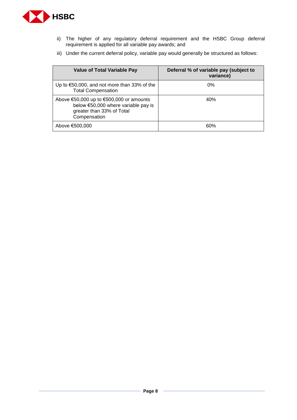

- ii) The higher of any regulatory deferral requirement and the HSBC Group deferral requirement is applied for all variable pay awards; and
- iii) Under the current deferral policy, variable pay would generally be structured as follows:

| <b>Value of Total Variable Pay</b>                                                                                          | Deferral % of variable pay (subject to<br>variance) |
|-----------------------------------------------------------------------------------------------------------------------------|-----------------------------------------------------|
| Up to $\epsilon$ 50,000, and not more than 33% of the<br><b>Total Compensation</b>                                          | $0\%$                                               |
| Above €50,000 up to €500,000 or amounts<br>below €50,000 where variable pay is<br>greater than 33% of Total<br>Compensation | 40%                                                 |
| Above €500,000                                                                                                              | 60%                                                 |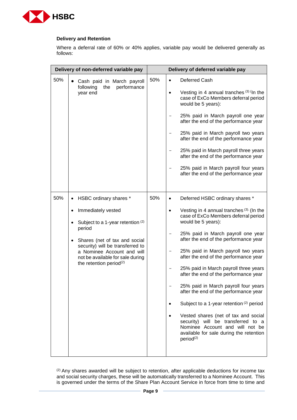

#### **Delivery and Retention**

Where a deferral rate of 60% or 40% applies, variable pay would be delivered generally as follows:

|     | Delivery of non-deferred variable pay                                                                                                     | Delivery of deferred variable pay |                   |                                                                                                                                                                                   |                                                                                                          |
|-----|-------------------------------------------------------------------------------------------------------------------------------------------|-----------------------------------|-------------------|-----------------------------------------------------------------------------------------------------------------------------------------------------------------------------------|----------------------------------------------------------------------------------------------------------|
| 50% | Cash paid in March payroll<br>performance<br>following<br>the<br>year end                                                                 | 50%                               | $\bullet$         | Deferred Cash                                                                                                                                                                     |                                                                                                          |
|     |                                                                                                                                           |                                   | $\bullet$         | Vesting in 4 annual tranches $(3)$ (In the<br>case of ExCo Members deferral period<br>would be 5 years):                                                                          |                                                                                                          |
|     |                                                                                                                                           |                                   |                   | 25% paid in March payroll one year<br>after the end of the performance year                                                                                                       |                                                                                                          |
|     |                                                                                                                                           |                                   |                   | 25% paid in March payroll two years<br>after the end of the performance year                                                                                                      |                                                                                                          |
|     |                                                                                                                                           |                                   |                   | 25% paid in March payroll three years<br>after the end of the performance year                                                                                                    |                                                                                                          |
|     |                                                                                                                                           |                                   |                   | 25% paid in March payroll four years<br>after the end of the performance year                                                                                                     |                                                                                                          |
| 50% | HSBC ordinary shares *<br>$\bullet$                                                                                                       | 50%                               | $\bullet$         | Deferred HSBC ordinary shares *                                                                                                                                                   |                                                                                                          |
|     | Immediately vested<br>٠<br>Subject to a 1-year retention (2)<br>$\bullet$                                                                 |                                   |                   | $\bullet$                                                                                                                                                                         | Vesting in 4 annual tranches $(3)$ (In the<br>case of ExCo Members deferral period<br>would be 5 years): |
|     | period<br>Shares (net of tax and social<br>$\bullet$                                                                                      |                                   |                   | 25% paid in March payroll one year<br>after the end of the performance year                                                                                                       |                                                                                                          |
|     | security) will be transferred to<br>a Nominee Account and will<br>not be available for sale during<br>the retention period <sup>(2)</sup> |                                   | $\qquad \qquad -$ | 25% paid in March payroll two years<br>after the end of the performance year                                                                                                      |                                                                                                          |
|     |                                                                                                                                           |                                   |                   | 25% paid in March payroll three years<br>after the end of the performance year                                                                                                    |                                                                                                          |
|     |                                                                                                                                           |                                   |                   | 25% paid in March payroll four years<br>after the end of the performance year                                                                                                     |                                                                                                          |
|     |                                                                                                                                           |                                   | $\bullet$         | Subject to a 1-year retention (2) period                                                                                                                                          |                                                                                                          |
|     |                                                                                                                                           |                                   |                   | Vested shares (net of tax and social<br>security) will be transferred to a<br>Nominee Account and will not be<br>available for sale during the retention<br>period <sup>(2)</sup> |                                                                                                          |
|     |                                                                                                                                           |                                   |                   |                                                                                                                                                                                   |                                                                                                          |

(2) Any shares awarded will be subject to retention, after applicable deductions for income tax and social security charges, these will be automatically transferred to a Nominee Account. This is governed under the terms of the Share Plan Account Service in force from time to time and